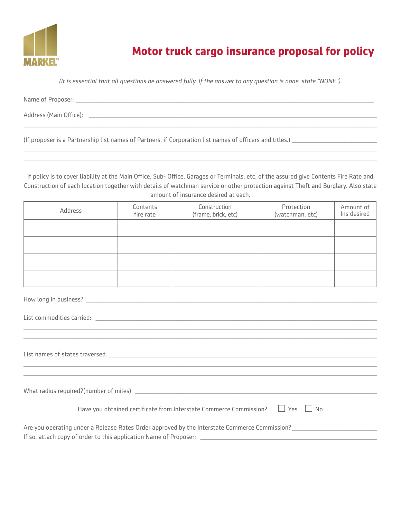

## **Motor truck cargo insurance proposal for policy**

*(It is essential that all questions be answered fully. If the answer to any question is none, state "NONE").*

 $\_$  , and the set of the set of the set of the set of the set of the set of the set of the set of the set of the set of the set of the set of the set of the set of the set of the set of the set of the set of the set of th

 $\_$  , and the set of the set of the set of the set of the set of the set of the set of the set of the set of the set of the set of the set of the set of the set of the set of the set of the set of the set of the set of th  $\_$  , and the set of the set of the set of the set of the set of the set of the set of the set of the set of the set of the set of the set of the set of the set of the set of the set of the set of the set of the set of th

Name of Proposer: \_\_\_\_\_\_\_\_\_\_\_\_\_\_\_\_\_\_\_\_\_\_\_\_\_\_\_\_\_\_\_\_\_\_\_\_\_\_\_\_\_\_\_\_\_\_\_\_\_\_\_\_\_\_\_\_\_\_\_\_\_\_\_\_\_\_\_\_\_\_\_\_\_\_\_\_\_\_\_\_\_\_\_\_\_\_\_\_\_\_\_

Address (Main Office): \_\_\_\_\_\_\_\_\_\_\_\_\_\_\_\_\_\_\_\_\_\_\_\_\_\_\_\_\_\_\_\_\_\_\_\_\_\_\_\_\_\_\_\_\_\_\_\_\_\_\_\_\_\_\_\_\_\_\_\_\_\_\_\_\_\_\_\_\_\_\_\_\_\_\_\_\_\_\_\_\_\_\_\_\_\_\_\_

(If proposer is a Partnership list names of Partners, if Corporation list names of officers and titles.) \_\_\_\_\_\_\_\_\_\_\_\_\_\_\_\_\_\_\_\_\_\_\_\_\_\_

If policy is to cover liability at the Main Office, Sub- Office, Garages or Terminals, etc. of the assured give Contents Fire Rate and Construction of each location together with details of watchman service or other protection against Theft and Burglary. Also state amount of insurance desired at each.

| Address | Contents<br>fire rate | Construction<br>(frame, brick, etc) | Protection<br>(watchman, etc) | Amount of<br>Ins desired |
|---------|-----------------------|-------------------------------------|-------------------------------|--------------------------|
|         |                       |                                     |                               |                          |
|         |                       |                                     |                               |                          |
|         |                       |                                     |                               |                          |
|         |                       |                                     |                               |                          |

| List commodities carried: <u>experimental contract of the second contract of the second contract of the second contract of the second contract of the second contract of the second contract of the second contract of the secon</u> |  |  |  |
|--------------------------------------------------------------------------------------------------------------------------------------------------------------------------------------------------------------------------------------|--|--|--|
|                                                                                                                                                                                                                                      |  |  |  |
|                                                                                                                                                                                                                                      |  |  |  |
|                                                                                                                                                                                                                                      |  |  |  |
|                                                                                                                                                                                                                                      |  |  |  |
|                                                                                                                                                                                                                                      |  |  |  |
|                                                                                                                                                                                                                                      |  |  |  |
|                                                                                                                                                                                                                                      |  |  |  |
|                                                                                                                                                                                                                                      |  |  |  |
|                                                                                                                                                                                                                                      |  |  |  |
| Have you obtained certificate from Interstate Commerce Commission? $\Box$ Yes $\Box$ No                                                                                                                                              |  |  |  |
|                                                                                                                                                                                                                                      |  |  |  |
| Are you operating under a Release Rates Order approved by the Interstate Commerce Commission?                                                                                                                                        |  |  |  |
|                                                                                                                                                                                                                                      |  |  |  |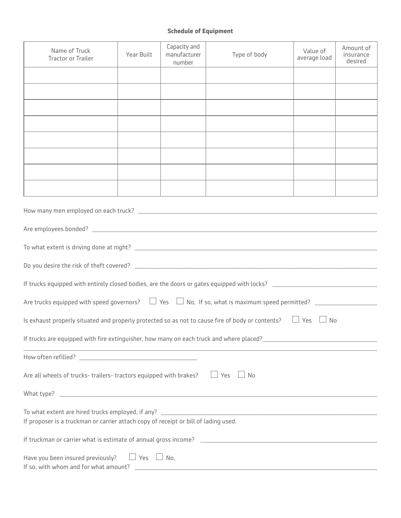## **Schedule of Equipment**

| Name of Truck<br><b>Tractor or Trailer</b>                                                                                                                                                               | Year Built | Capacity and<br>manufacturer<br>number | Type of body | Value of<br>average load | Amount of<br>insurance<br>desired |  |  |  |
|----------------------------------------------------------------------------------------------------------------------------------------------------------------------------------------------------------|------------|----------------------------------------|--------------|--------------------------|-----------------------------------|--|--|--|
|                                                                                                                                                                                                          |            |                                        |              |                          |                                   |  |  |  |
|                                                                                                                                                                                                          |            |                                        |              |                          |                                   |  |  |  |
|                                                                                                                                                                                                          |            |                                        |              |                          |                                   |  |  |  |
|                                                                                                                                                                                                          |            |                                        |              |                          |                                   |  |  |  |
|                                                                                                                                                                                                          |            |                                        |              |                          |                                   |  |  |  |
|                                                                                                                                                                                                          |            |                                        |              |                          |                                   |  |  |  |
|                                                                                                                                                                                                          |            |                                        |              |                          |                                   |  |  |  |
|                                                                                                                                                                                                          |            |                                        |              |                          |                                   |  |  |  |
|                                                                                                                                                                                                          |            |                                        |              |                          |                                   |  |  |  |
|                                                                                                                                                                                                          |            |                                        |              |                          |                                   |  |  |  |
|                                                                                                                                                                                                          |            |                                        |              |                          |                                   |  |  |  |
|                                                                                                                                                                                                          |            |                                        |              |                          |                                   |  |  |  |
|                                                                                                                                                                                                          |            |                                        |              |                          |                                   |  |  |  |
| Are trucks equipped with speed governors? $\Box$ Yes $\Box$ No, If so, what is maximum speed permitted? $\Box$                                                                                           |            |                                        |              |                          |                                   |  |  |  |
| Is exhaust properly situated and properly protected so as not to cause fire of body or contents? $\Box$ Yes $\Box$ No                                                                                    |            |                                        |              |                          |                                   |  |  |  |
| If trucks are equipped with fire extinguisher, how many on each truck and where placed?<br>The place of the content of the content of the content of the content of the content of the content of the co |            |                                        |              |                          |                                   |  |  |  |
|                                                                                                                                                                                                          |            |                                        |              |                          |                                   |  |  |  |
| Are all wheels of trucks-trailers-tractors equipped with brakes? $\Box$ Yes $\Box$ No                                                                                                                    |            |                                        |              |                          |                                   |  |  |  |
|                                                                                                                                                                                                          |            |                                        |              |                          |                                   |  |  |  |
| If proposer is a truckman or carrier attach copy of receipt or bill of lading used.                                                                                                                      |            |                                        |              |                          |                                   |  |  |  |
|                                                                                                                                                                                                          |            |                                        |              |                          |                                   |  |  |  |
| Have you been insured previously? $\Box$ Yes $\Box$ No,                                                                                                                                                  |            |                                        |              |                          |                                   |  |  |  |